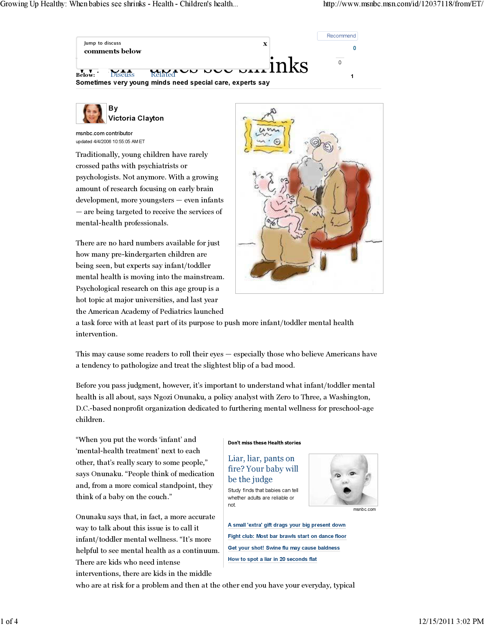



msnbc.com contributor updated 4/4/2006 10:55:05 AM ET

Traditionally, young children have rarely crossed paths with psychiatrists or psychologists. Not anymore. With a growing amount of research focusing on early brain development, more youngsters — even infants — are being targeted to receive the services of mental-health professionals.

There are no hard numbers available for just how many pre-kindergarten children are being seen, but experts say infant/toddler mental health is moving into the mainstream. Psychological research on this age group is a hot topic at major universities, and last year the American Academy of Pediatrics launched



a task force with at least part of its purpose to push more infant/toddler mental health intervention.

This may cause some readers to roll their eyes — especially those who believe Americans have a tendency to pathologize and treat the slightest blip of a bad mood.

Before you pass judgment, however, it's important to understand what infant/toddler mental health is all about, says Ngozi Onunaku, a policy analyst with Zero to Three, a Washington, D.C.-based nonprofit organization dedicated to furthering mental wellness for preschool-age children.

not.

"When you put the words 'infant' and 'mental-health treatment' next to each other, that's really scary to some people," says Onunaku. "People think of medication and, from a more comical standpoint, they think of a baby on the couch."

Onunaku says that, in fact, a more accurate way to talk about this issue is to call it infant/toddler mental wellness. "It's more helpful to see mental health as a continuum. There are kids who need intense interventions, there are kids in the middle

## Don't miss these Health stories

Liar, liar, pants on fire? Your baby will be the judge Study finds that babies can tell whether adults are reliable or



A small 'extra' gift drags your big present down Fight club: Most bar brawls start on dance floor Get your shot! Swine flu may cause baldness How to spot a liar in 20 seconds flat

who are at risk for a problem and then at the other end you have your everyday, typical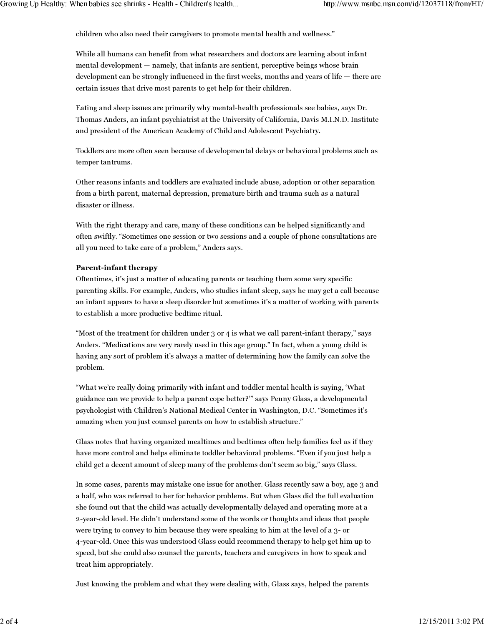children who also need their caregivers to promote mental health and wellness."

While all humans can benefit from what researchers and doctors are learning about infant mental development — namely, that infants are sentient, perceptive beings whose brain development can be strongly influenced in the first weeks, months and years of life — there are certain issues that drive most parents to get help for their children.

Eating and sleep issues are primarily why mental-health professionals see babies, says Dr. Thomas Anders, an infant psychiatrist at the University of California, Davis M.I.N.D. Institute and president of the American Academy of Child and Adolescent Psychiatry.

Toddlers are more often seen because of developmental delays or behavioral problems such as temper tantrums.

Other reasons infants and toddlers are evaluated include abuse, adoption or other separation from a birth parent, maternal depression, premature birth and trauma such as a natural disaster or illness.

With the right therapy and care, many of these conditions can be helped significantly and often swiftly. "Sometimes one session or two sessions and a couple of phone consultations are all you need to take care of a problem," Anders says.

## Parent-infant therapy

Oftentimes, it's just a matter of educating parents or teaching them some very specific parenting skills. For example, Anders, who studies infant sleep, says he may get a call because an infant appears to have a sleep disorder but sometimes it's a matter of working with parents to establish a more productive bedtime ritual.

"Most of the treatment for children under 3 or 4 is what we call parent-infant therapy," says Anders. "Medications are very rarely used in this age group." In fact, when a young child is having any sort of problem it's always a matter of determining how the family can solve the problem.

"What we're really doing primarily with infant and toddler mental health is saying, 'What guidance can we provide to help a parent cope better?'" says Penny Glass, a developmental psychologist with Children's National Medical Center in Washington, D.C. "Sometimes it's amazing when you just counsel parents on how to establish structure."

Glass notes that having organized mealtimes and bedtimes often help families feel as if they have more control and helps eliminate toddler behavioral problems. "Even if you just help a child get a decent amount of sleep many of the problems don't seem so big," says Glass.

In some cases, parents may mistake one issue for another. Glass recently saw a boy, age 3 and a half, who was referred to her for behavior problems. But when Glass did the full evaluation she found out that the child was actually developmentally delayed and operating more at a 2-year-old level. He didn't understand some of the words or thoughts and ideas that people were trying to convey to him because they were speaking to him at the level of a 3- or 4-year-old. Once this was understood Glass could recommend therapy to help get him up to speed, but she could also counsel the parents, teachers and caregivers in how to speak and treat him appropriately.

Just knowing the problem and what they were dealing with, Glass says, helped the parents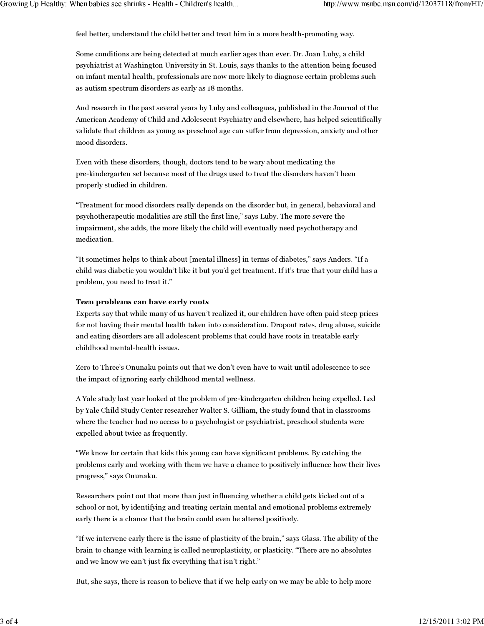feel better, understand the child better and treat him in a more health-promoting way.

Some conditions are being detected at much earlier ages than ever. Dr. Joan Luby, a child psychiatrist at Washington University in St. Louis, says thanks to the attention being focused on infant mental health, professionals are now more likely to diagnose certain problems such as autism spectrum disorders as early as 18 months.

And research in the past several years by Luby and colleagues, published in the Journal of the American Academy of Child and Adolescent Psychiatry and elsewhere, has helped scientifically validate that children as young as preschool age can suffer from depression, anxiety and other mood disorders.

Even with these disorders, though, doctors tend to be wary about medicating the pre-kindergarten set because most of the drugs used to treat the disorders haven't been properly studied in children.

"Treatment for mood disorders really depends on the disorder but, in general, behavioral and psychotherapeutic modalities are still the first line," says Luby. The more severe the impairment, she adds, the more likely the child will eventually need psychotherapy and medication.

"It sometimes helps to think about [mental illness] in terms of diabetes," says Anders. "If a child was diabetic you wouldn't like it but you'd get treatment. If it's true that your child has a problem, you need to treat it."

## Teen problems can have early roots

Experts say that while many of us haven't realized it, our children have often paid steep prices for not having their mental health taken into consideration. Dropout rates, drug abuse, suicide and eating disorders are all adolescent problems that could have roots in treatable early childhood mental-health issues.

Zero to Three's Onunaku points out that we don't even have to wait until adolescence to see the impact of ignoring early childhood mental wellness.

A Yale study last year looked at the problem of pre-kindergarten children being expelled. Led by Yale Child Study Center researcher Walter S. Gilliam, the study found that in classrooms where the teacher had no access to a psychologist or psychiatrist, preschool students were expelled about twice as frequently.

"We know for certain that kids this young can have significant problems. By catching the problems early and working with them we have a chance to positively influence how their lives progress," says Onunaku.

Researchers point out that more than just influencing whether a child gets kicked out of a school or not, by identifying and treating certain mental and emotional problems extremely early there is a chance that the brain could even be altered positively.

"If we intervene early there is the issue of plasticity of the brain," says Glass. The ability of the brain to change with learning is called neuroplasticity, or plasticity. "There are no absolutes and we know we can't just fix everything that isn't right."

But, she says, there is reason to believe that if we help early on we may be able to help more